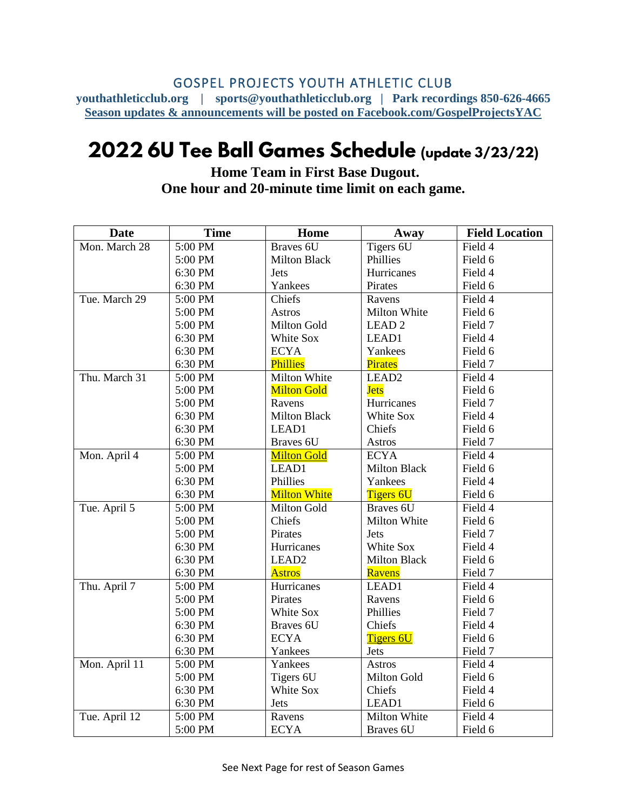## GOSPEL PROJECTS YOUTH ATHLETIC CLUB

**youthathleticclub.org | sports@youthathleticclub.org | Park recordings 850-626-4665 Season updates & announcements will be posted on Facebook.com/GospelProjectsYAC**

## 2022 6U Tee Ball Games Schedule (update 3/23/22)

**Home Team in First Base Dugout. One hour and 20-minute time limit on each game.**

| <b>Date</b>   | <b>Time</b> | Home                | Away                | <b>Field Location</b> |
|---------------|-------------|---------------------|---------------------|-----------------------|
| Mon. March 28 | 5:00 PM     | Braves 6U           | Tigers 6U           | Field 4               |
|               | 5:00 PM     | <b>Milton Black</b> | Phillies            | Field 6               |
|               | 6:30 PM     | Jets                | Hurricanes          | Field 4               |
|               | 6:30 PM     | Yankees             | Pirates             | Field 6               |
| Tue. March 29 | 5:00 PM     | Chiefs              | Ravens              | Field 4               |
|               | 5:00 PM     | <b>Astros</b>       | Milton White        | Field 6               |
|               | 5:00 PM     | Milton Gold         | LEAD <sub>2</sub>   | Field 7               |
|               | 6:30 PM     | White Sox           | LEAD1               | Field 4               |
|               | 6:30 PM     | <b>ECYA</b>         | Yankees             | Field 6               |
|               | 6:30 PM     | Phillies            | <b>Pirates</b>      | Field 7               |
| Thu. March 31 | 5:00 PM     | Milton White        | LEAD <sub>2</sub>   | Field 4               |
|               | 5:00 PM     | <b>Milton Gold</b>  | <b>Jets</b>         | Field 6               |
|               | 5:00 PM     | Ravens              | Hurricanes          | Field 7               |
|               | 6:30 PM     | <b>Milton Black</b> | White Sox           | Field 4               |
|               | 6:30 PM     | LEAD1               | Chiefs              | Field 6               |
|               | 6:30 PM     | Braves 6U           | <b>Astros</b>       | Field 7               |
| Mon. April 4  | 5:00 PM     | <b>Milton Gold</b>  | <b>ECYA</b>         | Field 4               |
|               | 5:00 PM     | LEAD1               | Milton Black        | Field 6               |
|               | 6:30 PM     | Phillies            | Yankees             | Field 4               |
|               | 6:30 PM     | <b>Milton White</b> | <b>Tigers 6U</b>    | Field 6               |
| Tue. April 5  | 5:00 PM     | Milton Gold         | Braves 6U           | Field 4               |
|               | 5:00 PM     | Chiefs              | Milton White        | Field 6               |
|               | 5:00 PM     | Pirates             | <b>Jets</b>         | Field 7               |
|               | 6:30 PM     | Hurricanes          | White Sox           | Field 4               |
|               | 6:30 PM     | LEAD <sub>2</sub>   | <b>Milton Black</b> | Field 6               |
|               | 6:30 PM     | <b>Astros</b>       | Ravens              | Field 7               |
| Thu. April 7  | 5:00 PM     | Hurricanes          | LEAD1               | Field 4               |
|               | 5:00 PM     | Pirates             | Ravens              | Field 6               |
|               | 5:00 PM     | White Sox           | Phillies            | Field 7               |
|               | 6:30 PM     | Braves 6U           | Chiefs              | Field 4               |
|               | 6:30 PM     | <b>ECYA</b>         | <b>Tigers 6U</b>    | Field 6               |
|               | 6:30 PM     | Yankees             | Jets                | Field 7               |
| Mon. April 11 | 5:00 PM     | Yankees             | <b>Astros</b>       | Field 4               |
|               | 5:00 PM     | Tigers 6U           | Milton Gold         | Field 6               |
|               | 6:30 PM     | White Sox           | Chiefs              | Field 4               |
|               | 6:30 PM     | Jets                | LEAD1               | Field 6               |
| Tue. April 12 | 5:00 PM     | Ravens              | Milton White        | Field 4               |
|               | 5:00 PM     | <b>ECYA</b>         | Braves 6U           | Field 6               |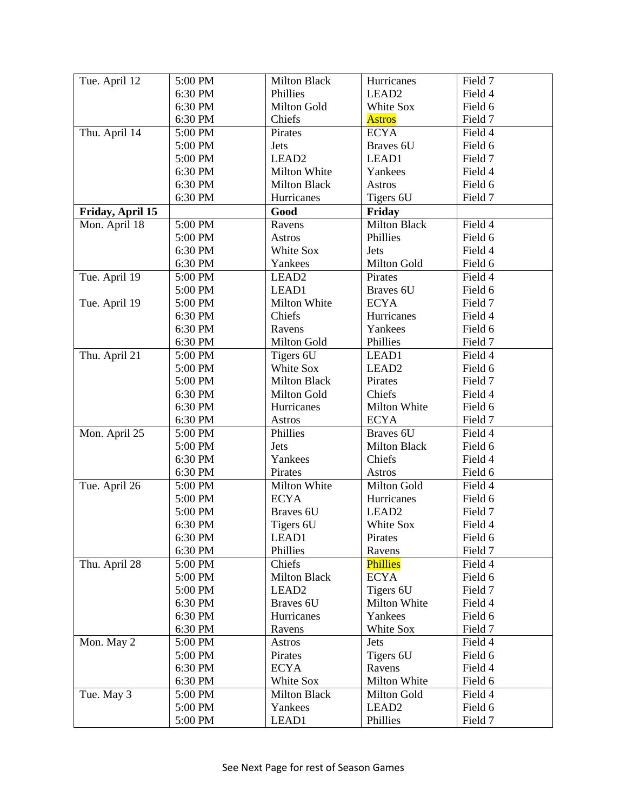| Tue. April 12    | 5:00 PM | <b>Milton Black</b> | Hurricanes          | Field 7 |
|------------------|---------|---------------------|---------------------|---------|
|                  | 6:30 PM | Phillies            | LEAD <sub>2</sub>   | Field 4 |
|                  | 6:30 PM | Milton Gold         | White Sox           | Field 6 |
|                  | 6:30 PM | Chiefs              | <b>Astros</b>       | Field 7 |
| Thu. April 14    | 5:00 PM | Pirates             | <b>ECYA</b>         | Field 4 |
|                  | 5:00 PM | Jets                | Braves 6U           | Field 6 |
|                  | 5:00 PM | LEAD <sub>2</sub>   | LEAD1               | Field 7 |
|                  | 6:30 PM | Milton White        | Yankees             | Field 4 |
|                  | 6:30 PM | <b>Milton Black</b> | <b>Astros</b>       | Field 6 |
|                  | 6:30 PM | Hurricanes          | Tigers 6U           | Field 7 |
| Friday, April 15 |         | Good                | Friday              |         |
| Mon. April 18    | 5:00 PM | Ravens              | Milton Black        | Field 4 |
|                  | 5:00 PM | <b>Astros</b>       | Phillies            | Field 6 |
|                  | 6:30 PM | White Sox           | <b>Jets</b>         | Field 4 |
|                  | 6:30 PM | Yankees             | Milton Gold         | Field 6 |
| Tue. April $19$  | 5:00 PM | LEAD <sub>2</sub>   | Pirates             | Field 4 |
|                  | 5:00 PM | LEAD1               | Braves 6U           | Field 6 |
| Tue. April 19    | 5:00 PM | Milton White        | <b>ECYA</b>         | Field 7 |
|                  | 6:30 PM | Chiefs              | Hurricanes          | Field 4 |
|                  | 6:30 PM | Ravens              | Yankees             | Field 6 |
|                  | 6:30 PM | Milton Gold         | Phillies            | Field 7 |
| Thu. April 21    | 5:00 PM | Tigers 6U           | LEAD1               | Field 4 |
|                  | 5:00 PM | White Sox           | LEAD <sub>2</sub>   | Field 6 |
|                  | 5:00 PM | <b>Milton Black</b> | Pirates             | Field 7 |
|                  | 6:30 PM | Milton Gold         | Chiefs              | Field 4 |
|                  | 6:30 PM | Hurricanes          | Milton White        | Field 6 |
|                  | 6:30 PM | <b>Astros</b>       | <b>ECYA</b>         | Field 7 |
| Mon. April 25    | 5:00 PM | Phillies            | Braves 6U           | Field 4 |
|                  | 5:00 PM | Jets                | <b>Milton Black</b> | Field 6 |
|                  | 6:30 PM | Yankees             | Chiefs              | Field 4 |
|                  | 6:30 PM | Pirates             | Astros              | Field 6 |
| Tue. April 26    | 5:00 PM | Milton White        | Milton Gold         | Field 4 |
|                  | 5:00 PM | <b>ECYA</b>         | Hurricanes          | Field 6 |
|                  | 5:00 PM | Braves 6U           | LEAD <sub>2</sub>   | Field 7 |
|                  | 6:30 PM | Tigers 6U           | White Sox           | Field 4 |
|                  | 6:30 PM | LEAD1               | Pirates             | Field 6 |
|                  | 6:30 PM | Phillies            | Ravens              | Field 7 |
| Thu. April 28    | 5:00 PM | Chiefs              | <b>Phillies</b>     | Field 4 |
|                  | 5:00 PM | <b>Milton Black</b> | <b>ECYA</b>         | Field 6 |
|                  | 5:00 PM | LEAD <sub>2</sub>   | Tigers 6U           | Field 7 |
|                  | 6:30 PM | Braves 6U           | Milton White        | Field 4 |
|                  | 6:30 PM | Hurricanes          | Yankees             | Field 6 |
|                  | 6:30 PM | Ravens              | White Sox           | Field 7 |
| Mon. May 2       | 5:00 PM | <b>Astros</b>       | <b>Jets</b>         | Field 4 |
|                  | 5:00 PM | Pirates             | Tigers 6U           | Field 6 |
|                  | 6:30 PM | <b>ECYA</b>         | Ravens              | Field 4 |
|                  | 6:30 PM | White Sox           | Milton White        | Field 6 |
| Tue. May 3       | 5:00 PM | <b>Milton Black</b> | Milton Gold         | Field 4 |
|                  | 5:00 PM | Yankees             | LEAD <sub>2</sub>   | Field 6 |
|                  | 5:00 PM | LEAD1               | Phillies            | Field 7 |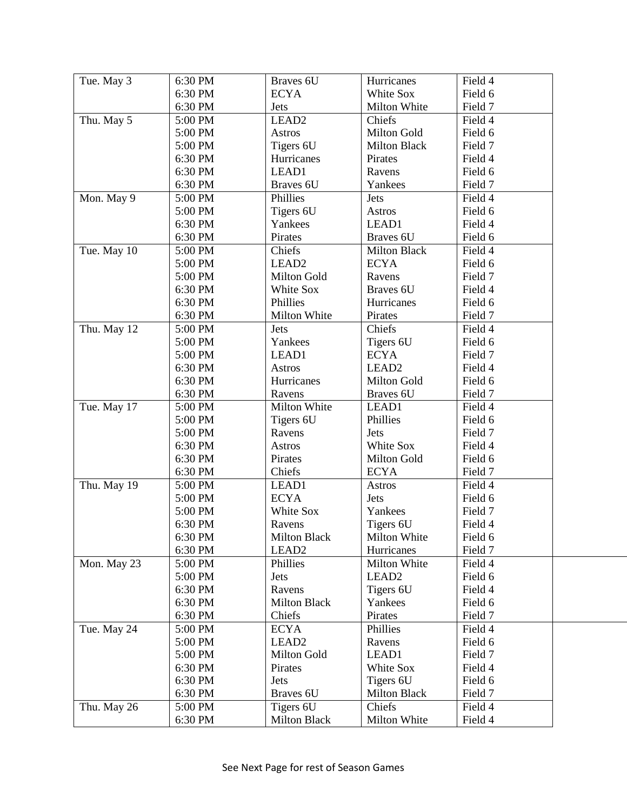| Tue. May 3  | 6:30 PM            | Braves 6U                        | Hurricanes                    | Field 4            |
|-------------|--------------------|----------------------------------|-------------------------------|--------------------|
|             | 6:30 PM            | <b>ECYA</b>                      | White Sox                     | Field 6            |
|             | 6:30 PM            | Jets                             | Milton White                  | Field 7            |
| Thu. May 5  | 5:00 PM            | LEAD <sub>2</sub>                | Chiefs                        | Field 4            |
|             | 5:00 PM            | <b>Astros</b>                    | Milton Gold                   | Field 6            |
|             | 5:00 PM            | Tigers 6U                        | <b>Milton Black</b>           | Field 7            |
|             | 6:30 PM            | Hurricanes                       | Pirates                       | Field 4            |
|             | 6:30 PM            | LEAD1                            | Ravens                        | Field 6            |
|             | 6:30 PM            | Braves 6U                        | Yankees                       | Field 7            |
| Mon. May 9  | 5:00 PM            | Phillies                         | Jets                          | Field 4            |
|             | 5:00 PM            | Tigers 6U                        | Astros                        | Field 6            |
|             | 6:30 PM            | Yankees                          | LEAD1                         | Field 4            |
|             | 6:30 PM            | Pirates                          | Braves 6U                     | Field 6            |
| Tue. May 10 | 5:00 PM            | Chiefs                           | <b>Milton Black</b>           | Field 4            |
|             | 5:00 PM            | LEAD <sub>2</sub>                | <b>ECYA</b>                   | Field 6            |
|             | 5:00 PM            | Milton Gold                      | Ravens                        | Field 7            |
|             | 6:30 PM            | White Sox                        | Braves 6U                     | Field 4            |
|             | 6:30 PM            | Phillies                         | Hurricanes                    | Field 6            |
|             | 6:30 PM            | Milton White                     | Pirates                       | Field 7            |
| Thu. May 12 | 5:00 PM            | Jets                             | Chiefs                        | Field 4            |
|             | 5:00 PM            | Yankees                          | Tigers 6U                     | Field 6            |
|             | 5:00 PM            | LEAD1                            | <b>ECYA</b>                   | Field 7            |
|             | 6:30 PM            | <b>Astros</b>                    | LEAD <sub>2</sub>             | Field 4            |
|             | 6:30 PM            | Hurricanes                       | Milton Gold                   | Field 6            |
|             | 6:30 PM            | Ravens                           | Braves 6U                     | Field 7            |
| Tue. May 17 | 5:00 PM            | Milton White                     | LEAD1                         | Field 4            |
|             | 5:00 PM            | Tigers 6U                        | Phillies                      | Field 6            |
|             | 5:00 PM            | Ravens                           | Jets                          | Field 7            |
|             | 6:30 PM            | <b>Astros</b>                    | White Sox                     | Field 4            |
|             | 6:30 PM            | Pirates                          | Milton Gold                   | Field 6            |
|             | 6:30 PM            | Chiefs                           | <b>ECYA</b>                   | Field 7            |
| Thu. May 19 | 5:00 PM            | LEAD1                            | <b>Astros</b>                 | Field 4            |
|             | 5:00 PM            | <b>ECYA</b>                      | Jets                          | Field 6            |
|             | 5:00 PM            | White Sox                        | Yankees                       | Field 7            |
|             | 6:30 PM            | Ravens                           | Tigers 6U                     | Field 4            |
|             | 6:30 PM            | <b>Milton Black</b>              | Milton White                  | Field 6            |
|             | 6:30 PM            | LEAD <sub>2</sub>                | Hurricanes                    | Field 7            |
| Mon. May 23 | 5:00 PM            | Phillies                         | Milton White                  | Field 4            |
|             |                    |                                  |                               |                    |
|             |                    |                                  | LEAD <sub>2</sub>             |                    |
|             | 5:00 PM            | Jets                             |                               | Field 6            |
|             | 6:30 PM            | Ravens                           | Tigers 6U                     | Field 4            |
|             | 6:30 PM            | <b>Milton Black</b><br>Chiefs    | Yankees                       | Field 6            |
|             | 6:30 PM            |                                  | Pirates                       | Field 7            |
| Tue. May 24 | 5:00 PM            | <b>ECYA</b><br>LEAD <sub>2</sub> | Phillies<br>Ravens            | Field 4            |
|             | 5:00 PM            |                                  |                               | Field 6            |
|             | 5:00 PM            | Milton Gold                      | LEAD1                         | Field 7            |
|             | 6:30 PM            | Pirates                          | White Sox                     | Field 4            |
|             | 6:30 PM            | Jets                             | Tigers 6U                     | Field 6            |
| Thu. May 26 | 6:30 PM<br>5:00 PM | Braves 6U<br>Tigers 6U           | <b>Milton Black</b><br>Chiefs | Field 7<br>Field 4 |